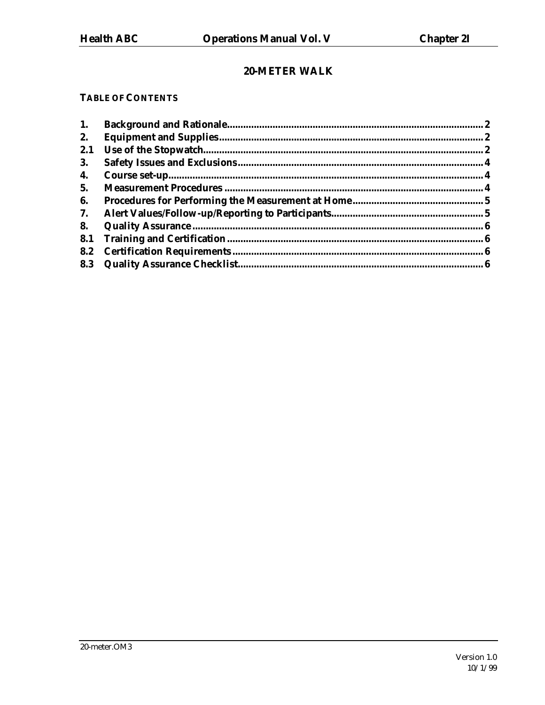# 20-METER WALK

# **TABLE OF CONTENTS**

| 1.        |  |
|-----------|--|
| 2.        |  |
| 2.1       |  |
| <b>3.</b> |  |
| 4.        |  |
| 5.        |  |
| 6.        |  |
| 7.        |  |
| 8.        |  |
| 8.1       |  |
| 8.2       |  |
|           |  |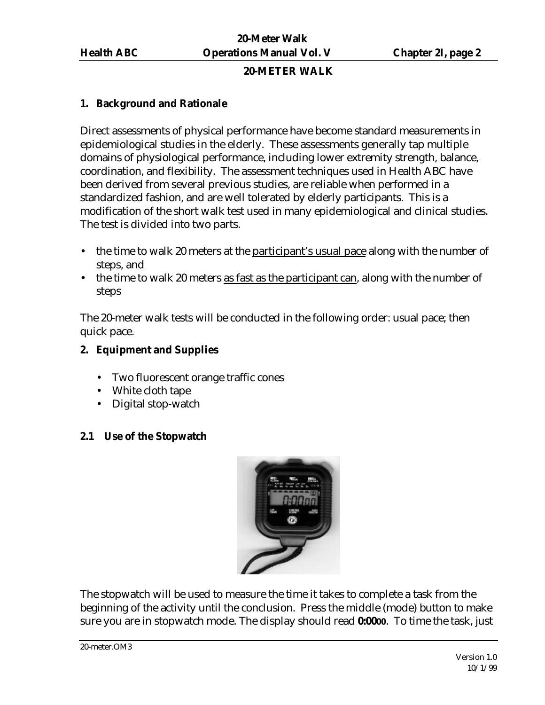#### **20-METER WALK**

### **1. Background and Rationale**

Direct assessments of physical performance have become standard measurements in epidemiological studies in the elderly. These assessments generally tap multiple domains of physiological performance, including lower extremity strength, balance, coordination, and flexibility. The assessment techniques used in Health ABC have been derived from several previous studies, are reliable when performed in a standardized fashion, and are well tolerated by elderly participants. This is a modification of the short walk test used in many epidemiological and clinical studies. The test is divided into two parts.

- the time to walk 20 meters at the participant's usual pace along with the number of steps, and
- the time to walk 20 meters as fast as the participant can, along with the number of steps

The 20-meter walk tests will be conducted in the following order: usual pace; then quick pace.

# **2. Equipment and Supplies**

- Two fluorescent orange traffic cones
- White cloth tape
- Digital stop-watch

# **2.1 Use of the Stopwatch**



The stopwatch will be used to measure the time it takes to complete a task from the beginning of the activity until the conclusion. Press the middle (mode) button to make sure you are in stopwatch mode. The display should read **0:0000**. To time the task, just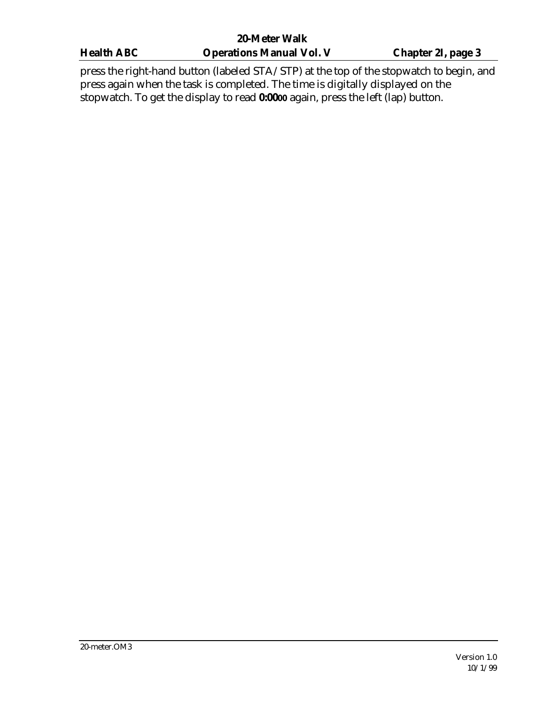| <b>20-Meter Walk</b> |                                                                                         |                           |  |  |
|----------------------|-----------------------------------------------------------------------------------------|---------------------------|--|--|
| <b>Health ABC</b>    | <b>Operations Manual Vol. V</b>                                                         | <b>Chapter 2I, page 3</b> |  |  |
|                      | press the right-hand button (labeled STA/STP) at the top of the stopwatch to begin, and |                           |  |  |

press the right-hand button (labeled STA/STP) at the top of the stopwatch to begin, and press again when the task is completed. The time is digitally displayed on the stopwatch. To get the display to read **0:0000** again, press the left (lap) button.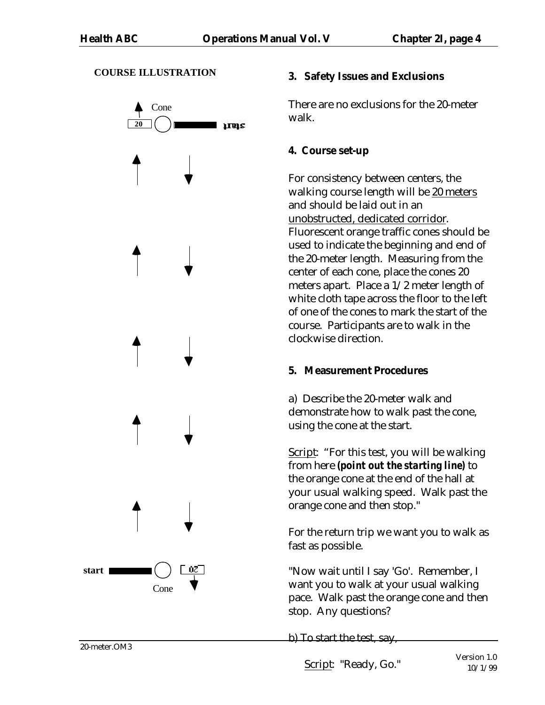#### **COURSE ILLUSTRATION**



### **3. Safety Issues and Exclusions**

There are no exclusions for the 20-meter walk.

# **4. Course set-up**

For consistency between centers, the walking course length will be 20 meters and should be laid out in an unobstructed, dedicated corridor. Fluorescent orange traffic cones should be used to indicate the beginning and end of the 20-meter length. Measuring from the center of each cone, place the cones 20 meters apart. Place a 1/2 meter length of white cloth tape across the floor to the left of one of the cones to mark the start of the course. Participants are to walk in the clockwise direction.

# **5. Measurement Procedures**

a) Describe the 20-meter walk and demonstrate how to walk past the cone, using the cone at the start.

Script: "For this test, you will be walking from here *(point out the starting line)* to the orange cone at the end of the hall at your usual walking speed. Walk past the orange cone and then stop."

For the return trip we want you to walk as fast as possible.

"Now wait until I say 'Go'. Remember, I want you to walk at your usual walking pace. Walk past the orange cone and then stop. Any questions?

b) To start the test, say,

Script: "Ready, Go."

20-meter.OM3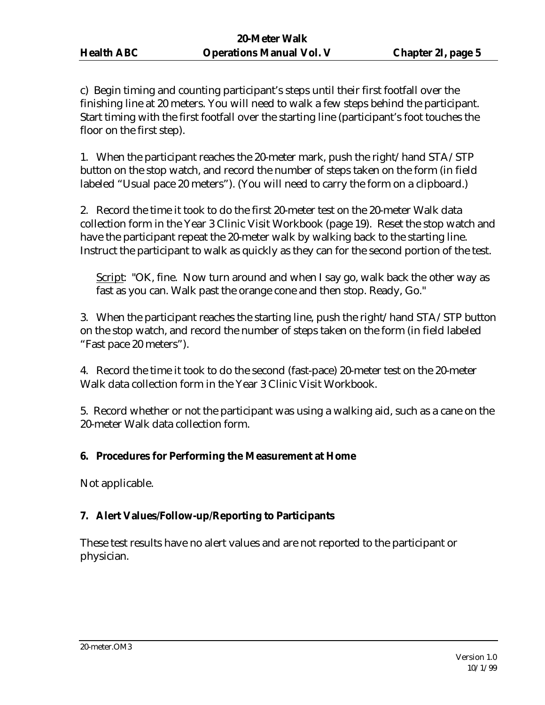c) Begin timing and counting participant's steps until their first footfall over the finishing line at 20 meters. You will need to walk a few steps behind the participant. Start timing with the first footfall over the starting line (participant's foot touches the floor on the first step).

1. When the participant reaches the 20-meter mark, push the right/hand STA/STP button on the stop watch, and record the number of steps taken on the form (in field labeled "Usual pace 20 meters"). (You will need to carry the form on a clipboard.)

2. Record the time it took to do the first 20-meter test on the 20-meter Walk data collection form in the Year 3 Clinic Visit Workbook (page 19). Reset the stop watch and have the participant repeat the 20-meter walk by walking back to the starting line. Instruct the participant to walk as quickly as they can for the second portion of the test.

Script: "OK, fine. Now turn around and when I say go, walk back the other way as fast as you can. Walk past the orange cone and then stop. Ready, Go."

3. When the participant reaches the starting line, push the right/hand STA/STP button on the stop watch, and record the number of steps taken on the form (in field labeled "Fast pace 20 meters").

4. Record the time it took to do the second (fast-pace) 20-meter test on the 20-meter Walk data collection form in the Year 3 Clinic Visit Workbook.

5. Record whether or not the participant was using a walking aid, such as a cane on the 20-meter Walk data collection form.

# **6. Procedures for Performing the Measurement at Home**

Not applicable.

# **7. Alert Values/Follow-up/Reporting to Participants**

These test results have no alert values and are not reported to the participant or physician.